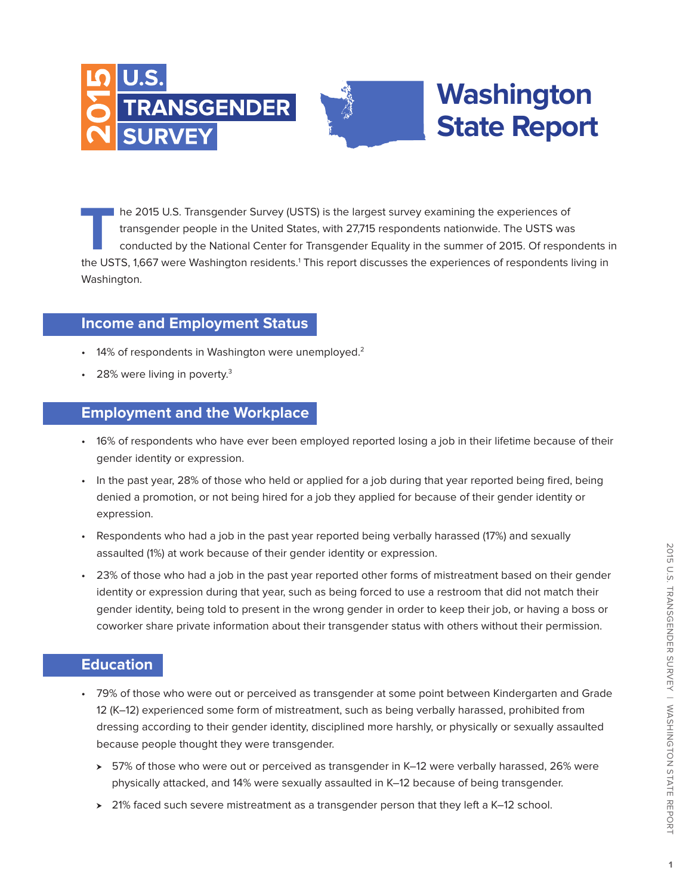



## **Washington State Report**

**T**he 2015 U.S. Transgender Survey (USTS) is the largest survey examining the experiences of transgender people in the United States, with 27,715 respondents nationwide. The USTS was conducted by the National Center for Transgender Equality in the summer of 2015. Of respondents in the USTS, 1,667 were Washington residents.<sup>1</sup> This report discusses the experiences of respondents living in Washington.

#### **Income and Employment Status**

- 14% of respondents in Washington were unemployed.<sup>2</sup>
- 28% were living in poverty.<sup>3</sup>

#### **Employment and the Workplace**

- 16% of respondents who have ever been employed reported losing a job in their lifetime because of their gender identity or expression.
- In the past year, 28% of those who held or applied for a job during that year reported being fired, being denied a promotion, or not being hired for a job they applied for because of their gender identity or expression.
- Respondents who had a job in the past year reported being verbally harassed (17%) and sexually assaulted (1%) at work because of their gender identity or expression.
- 23% of those who had a job in the past year reported other forms of mistreatment based on their gender identity or expression during that year, such as being forced to use a restroom that did not match their gender identity, being told to present in the wrong gender in order to keep their job, or having a boss or coworker share private information about their transgender status with others without their permission.

#### **Education**

- 79% of those who were out or perceived as transgender at some point between Kindergarten and Grade 12 (K–12) experienced some form of mistreatment, such as being verbally harassed, prohibited from dressing according to their gender identity, disciplined more harshly, or physically or sexually assaulted because people thought they were transgender.
	- $\geq$  57% of those who were out or perceived as transgender in K–12 were verbally harassed, 26% were physically attacked, and 14% were sexually assaulted in K–12 because of being transgender.
	- $\geq$  21% faced such severe mistreatment as a transgender person that they left a K–12 school.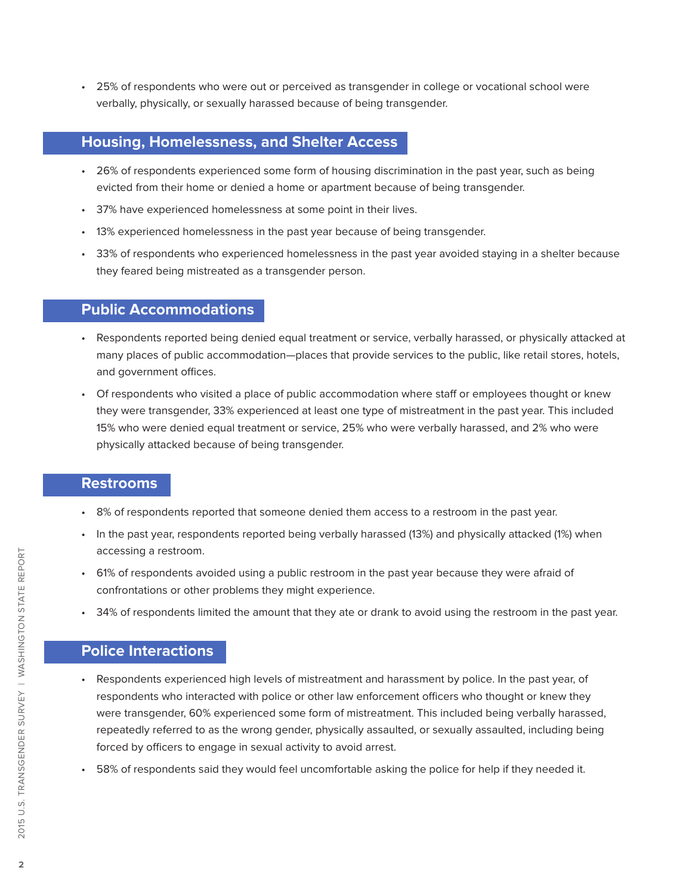• 25% of respondents who were out or perceived as transgender in college or vocational school were verbally, physically, or sexually harassed because of being transgender.

### **Housing, Homelessness, and Shelter Access**

- 26% of respondents experienced some form of housing discrimination in the past year, such as being evicted from their home or denied a home or apartment because of being transgender.
- 37% have experienced homelessness at some point in their lives.
- 13% experienced homelessness in the past year because of being transgender.
- 33% of respondents who experienced homelessness in the past year avoided staying in a shelter because they feared being mistreated as a transgender person.

#### **Public Accommodations**

- Respondents reported being denied equal treatment or service, verbally harassed, or physically attacked at many places of public accommodation—places that provide services to the public, like retail stores, hotels, and government offices.
- Of respondents who visited a place of public accommodation where staff or employees thought or knew they were transgender, 33% experienced at least one type of mistreatment in the past year. This included 15% who were denied equal treatment or service, 25% who were verbally harassed, and 2% who were physically attacked because of being transgender.

#### **Restrooms**

- 8% of respondents reported that someone denied them access to a restroom in the past year.
- In the past year, respondents reported being verbally harassed (13%) and physically attacked (1%) when accessing a restroom.
- 61% of respondents avoided using a public restroom in the past year because they were afraid of confrontations or other problems they might experience.
- 34% of respondents limited the amount that they ate or drank to avoid using the restroom in the past year.

#### **Police Interactions**

- Respondents experienced high levels of mistreatment and harassment by police. In the past year, of respondents who interacted with police or other law enforcement officers who thought or knew they were transgender, 60% experienced some form of mistreatment. This included being verbally harassed, repeatedly referred to as the wrong gender, physically assaulted, or sexually assaulted, including being forced by officers to engage in sexual activity to avoid arrest.
- 58% of respondents said they would feel uncomfortable asking the police for help if they needed it.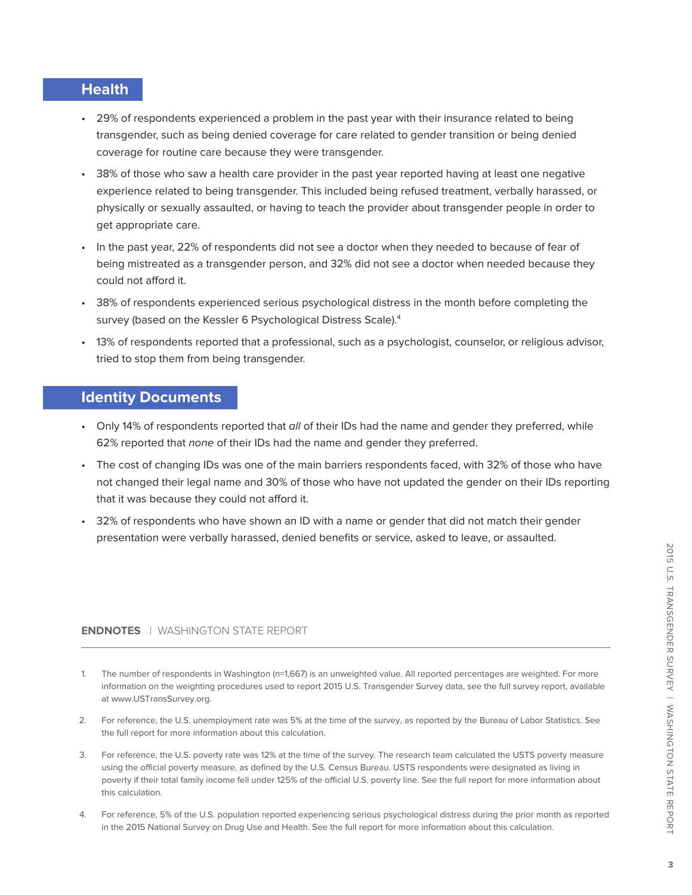#### **Health**

- 29% of respondents experienced a problem in the past year with their insurance related to being transgender, such as being denied coverage for care related to gender transition or being denied coverage for routine care because they were transgender.
- 38% of those who saw a health care provider in the past year reported having at least one negative experience related to being transgender. This included being refused treatment, verbally harassed, or physically or sexually assaulted, or having to teach the provider about transgender people in order to get appropriate care.
- In the past year, 22% of respondents did not see a doctor when they needed to because of fear of being mistreated as a transgender person, and 32% did not see a doctor when needed because they could not afford it.
- 38% of respondents experienced serious psychological distress in the month before completing the survey (based on the Kessler 6 Psychological Distress Scale).<sup>4</sup>
- 13% of respondents reported that a professional, such as a psychologist, counselor, or religious advisor, tried to stop them from being transgender.

#### **Identity Documents**

- Only 14% of respondents reported that all of their IDs had the name and gender they preferred, while 62% reported that none of their IDs had the name and gender they preferred.
- The cost of changing IDs was one of the main barriers respondents faced, with 32% of those who have not changed their legal name and 30% of those who have not updated the gender on their IDs reporting that it was because they could not afford it.
- 32% of respondents who have shown an ID with a name or gender that did not match their gender presentation were verbally harassed, denied benefits or service, asked to leave, or assaulted.

#### **ENDNOTES** | WASHINGTON STATE REPORT

- The number of respondents in Washington (n=1,667) is an unweighted value. All reported percentages are weighted. For more information on the weighting procedures used to report 2015 U.S. Transgender Survey data, see the full survey report, available at www.USTransSurvey.org.
- 2. For reference, the U.S. unemployment rate was 5% at the time of the survey, as reported by the Bureau of Labor Statistics. See the full report for more information about this calculation.
- 3. For reference, the U.S. poverty rate was 12% at the time of the survey. The research team calculated the USTS poverty measure using the official poverty measure, as defined by the U.S. Census Bureau. USTS respondents were designated as living in poverty if their total family income fell under 125% of the official U.S. poverty line. See the full report for more information about this calculation.
- 4. For reference, 5% of the U.S. population reported experiencing serious psychological distress during the prior month as reported in the 2015 National Survey on Drug Use and Health. See the full report for more information about this calculation.